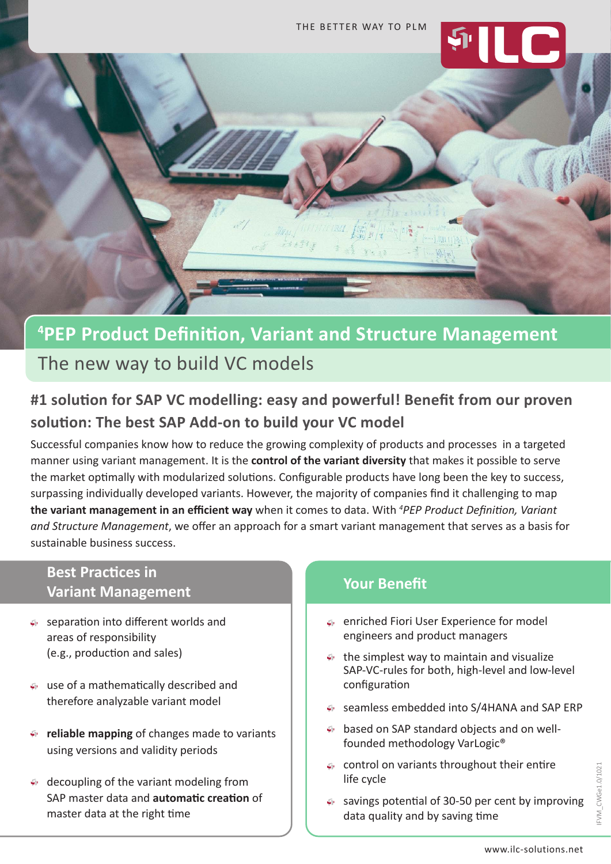

# **4 PEP Product Definition, Variant and Structure Management**

The new way to build VC models

## **#1 solution for SAP VC modelling: easy and powerful! Benefit from our proven solution: The best SAP Add-on to build your VC model**

Successful companies know how to reduce the growing complexity of products and processes in a targeted manner using variant management. It is the **control of the variant diversity** that makes it possible to serve the market optimally with modularized solutions. Configurable products have long been the key to success, surpassing individually developed variants. However, the majority of companies find it challenging to map **the variant management in an efficient way** when it comes to data. With *<sup>4</sup> PEP Product Definition, Variant and Structure Management*, we offer an approach for a smart variant management that serves as a basis for sustainable business success.

## **Best Practices in Variant Management**

- separation into different worlds and areas of responsibility (e.g., production and sales)
- use of a mathematically described and therefore analyzable variant model
- $\mathfrak{g}_{\mathbb{C}}$ **reliable mapping** of changes made to variants using versions and validity periods
- decoupling of the variant modeling from SAP master data and **automatic creation** of master data at the right time

## **Your Benefit**

- enriched Fiori User Experience for model engineers and product managers
- the simplest way to maintain and visualize SAP-VC-rules for both, high-level and low-level configuration
- seamless embedded into S/4HANA and SAP ERP
- based on SAP standard objects and on wellfounded methodology VarLogic®
- control on variants throughout their entire life cycle
- savings potential of 30-50 per cent by improving data quality and by saving time